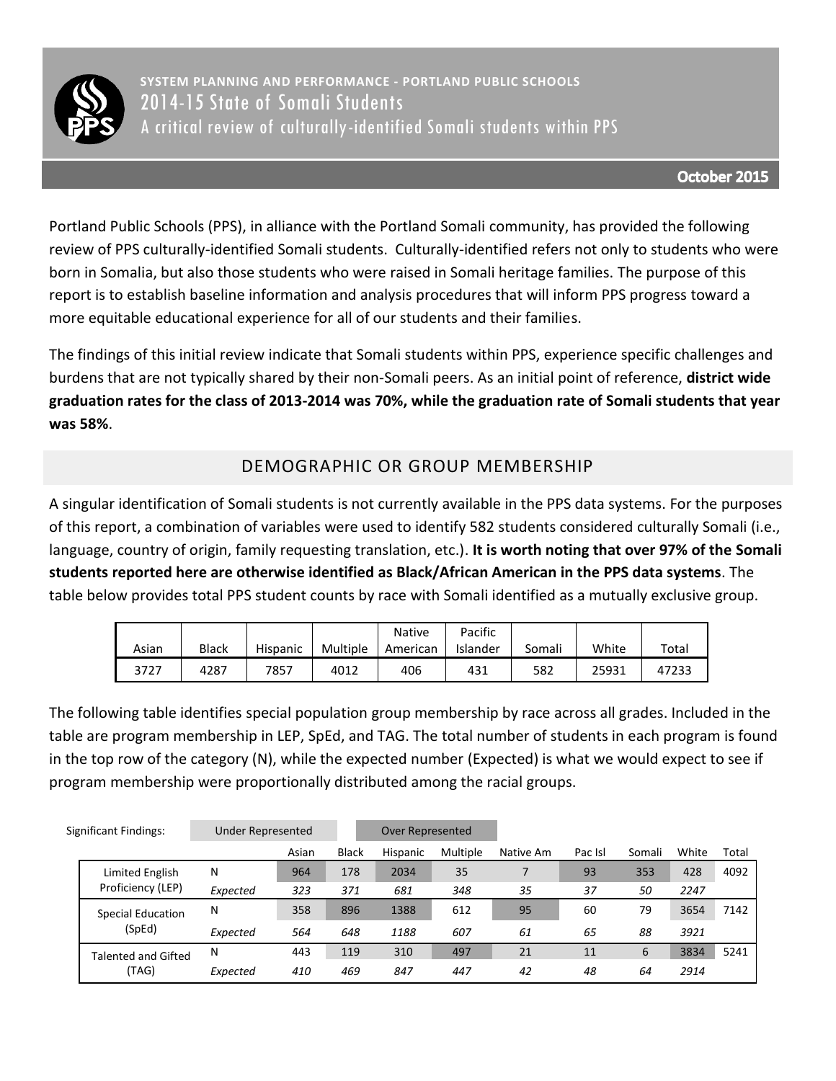

**SYSTEM PLANNING AND PERFORMANCE - PORTLAND PUBLIC SCHOOLS** 2014-15 State of Somali Students A critical review of culturally-identified Somali students within PPS

Portland Public Schools (PPS), in alliance with the Portland Somali community, has provided the following review of PPS culturally-identified Somali students. Culturally-identified refers not only to students who were born in Somalia, but also those students who were raised in Somali heritage families. The purpose of this report is to establish baseline information and analysis procedures that will inform PPS progress toward a more equitable educational experience for all of our students and their families.

The findings of this initial review indicate that Somali students within PPS, experience specific challenges and burdens that are not typically shared by their non-Somali peers. As an initial point of reference, **district wide graduation rates for the class of 2013-2014 was 70%, while the graduation rate of Somali students that year was 58%**.

## DEMOGRAPHIC OR GROUP MEMBERSHIP

A singular identification of Somali students is not currently available in the PPS data systems. For the purposes of this report, a combination of variables were used to identify 582 students considered culturally Somali (i.e., language, country of origin, family requesting translation, etc.). **It is worth noting that over 97% of the Somali students reported here are otherwise identified as Black/African American in the PPS data systems**. The table below provides total PPS student counts by race with Somali identified as a mutually exclusive group.

|       |              |                 |          | Native   | Pacific  |        |       |       |
|-------|--------------|-----------------|----------|----------|----------|--------|-------|-------|
| Asian | <b>Black</b> | <b>Hispanic</b> | Multiple | American | Islander | Somali | White | Total |
| 3727  | 4287         | 7857            | 4012     | 406      | 431      | 582    | 25931 | 47233 |

The following table identifies special population group membership by race across all grades. Included in the table are program membership in LEP, SpEd, and TAG. The total number of students in each program is found in the top row of the category (N), while the expected number (Expected) is what we would expect to see if program membership were proportionally distributed among the racial groups.

|  | Significant Findings:               | Under Represented |       |              | Over Represented |          |           |         |        |       |       |
|--|-------------------------------------|-------------------|-------|--------------|------------------|----------|-----------|---------|--------|-------|-------|
|  |                                     |                   | Asian | <b>Black</b> | Hispanic         | Multiple | Native Am | Pac Isl | Somali | White | Total |
|  | Limited English                     | N                 | 964   | 178          | 2034             | 35       |           | 93      | 353    | 428   | 4092  |
|  | Proficiency (LEP)                   | Expected          | 323   | 371          | 681              | 348      | 35        | 37      | 50     | 2247  |       |
|  | <b>Special Education</b>            | N                 | 358   | 896          | 1388             | 612      | 95        | 60      | 79     | 3654  | 7142  |
|  | (SpEd)                              | Expected          | 564   | 648          | 1188             | 607      | 61        | 65      | 88     | 3921  |       |
|  | <b>Talented and Gifted</b><br>(TAG) | N                 | 443   | 119          | 310              | 497      | 21        | 11      | 6      | 3834  | 5241  |
|  |                                     | Expected          | 410   | 469          | 847              | 447      | 42        | 48      | 64     | 2914  |       |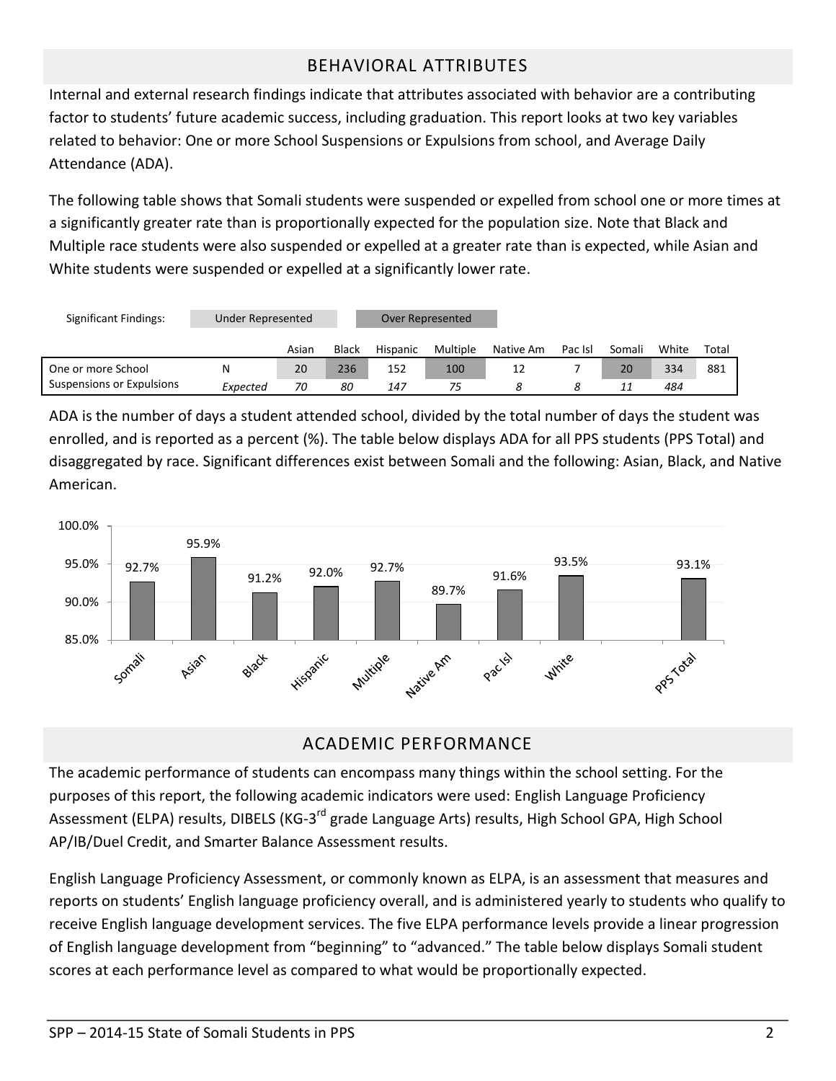## BEHAVIORAL ATTRIBUTES

Internal and external research findings indicate that attributes associated with behavior are a contributing factor to students' future academic success, including graduation. This report looks at two key variables related to behavior: One or more School Suspensions or Expulsions from school, and Average Daily Attendance (ADA).

The following table shows that Somali students were suspended or expelled from school one or more times at a significantly greater rate than is proportionally expected for the population size. Note that Black and Multiple race students were also suspended or expelled at a greater rate than is expected, while Asian and White students were suspended or expelled at a significantly lower rate.

| Significant Findings:     | Under Represented |       |       | Over Represented |          |           |         |        |       |       |
|---------------------------|-------------------|-------|-------|------------------|----------|-----------|---------|--------|-------|-------|
|                           |                   | Asian | Black | Hispanic         | Multiple | Native Am | Pac Isl | Somali | White | Total |
| One or more School        | N                 | 20    | 236   | 152              | 100      |           |         | 20     | 334   | 881   |
| Suspensions or Expulsions | Expected          | 70    | 80    | 147              | 75       |           |         | 11     | 484   |       |

ADA is the number of days a student attended school, divided by the total number of days the student was enrolled, and is reported as a percent (%). The table below displays ADA for all PPS students (PPS Total) and disaggregated by race. Significant differences exist between Somali and the following: Asian, Black, and Native American.



## ACADEMIC PERFORMANCE

The academic performance of students can encompass many things within the school setting. For the purposes of this report, the following academic indicators were used: English Language Proficiency Assessment (ELPA) results, DIBELS (KG-3<sup>rd</sup> grade Language Arts) results, High School GPA, High School AP/IB/Duel Credit, and Smarter Balance Assessment results.

English Language Proficiency Assessment, or commonly known as ELPA, is an assessment that measures and reports on students' English language proficiency overall, and is administered yearly to students who qualify to receive English language development services. The five ELPA performance levels provide a linear progression of English language development from "beginning" to "advanced." The table below displays Somali student scores at each performance level as compared to what would be proportionally expected.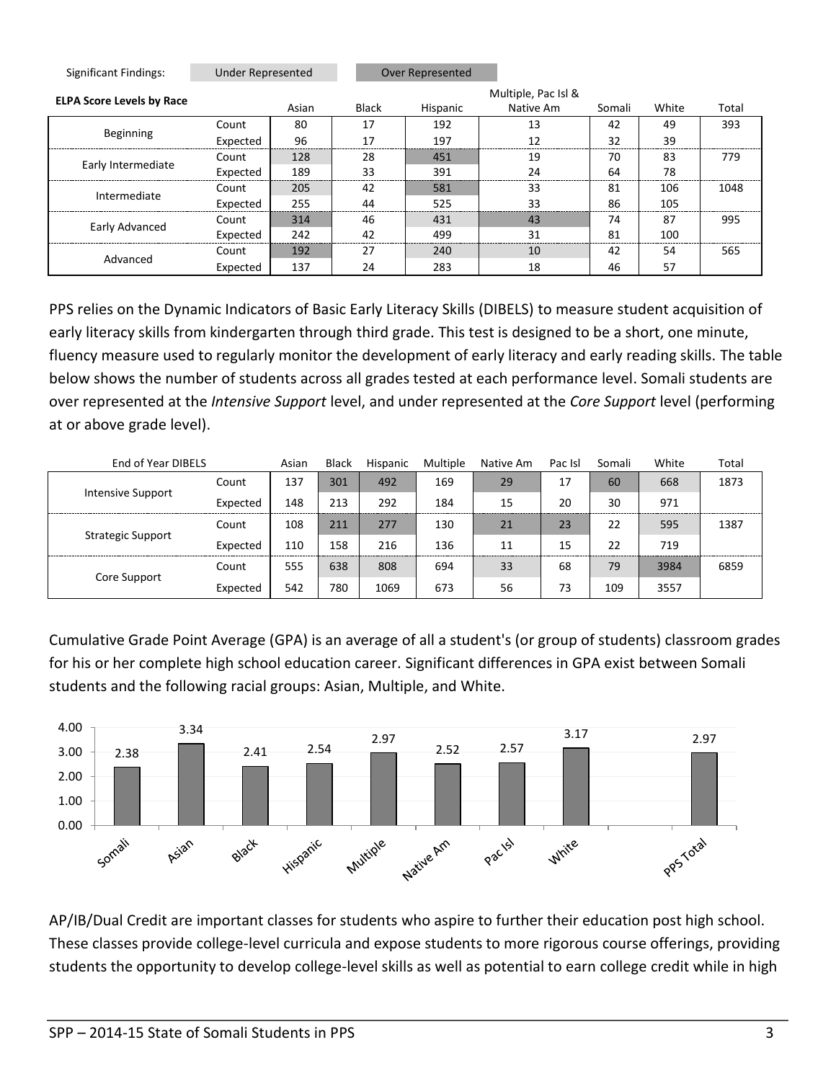| Significant Findings:            | <b>Under Represented</b> |       |       | <b>Over Represented</b> |                     |        |       |       |  |  |  |  |
|----------------------------------|--------------------------|-------|-------|-------------------------|---------------------|--------|-------|-------|--|--|--|--|
| <b>ELPA Score Levels by Race</b> |                          |       |       |                         | Multiple, Pac Isl & |        |       |       |  |  |  |  |
|                                  |                          | Asian | Black | Hispanic                | Native Am           | Somali | White | Total |  |  |  |  |
| Beginning                        | Count                    | 80    | 17    | 192                     | 13                  | 42     | 49    | 393   |  |  |  |  |
|                                  | Expected                 | 96    | 17    | 197                     | 12                  | 32     | 39    |       |  |  |  |  |
|                                  | Count                    | 128   | 28    | 451                     | 19                  | 70     | 83    | 779   |  |  |  |  |
| Early Intermediate               | Expected                 | 189   | 33    | 391                     | 24                  | 64     | 78    |       |  |  |  |  |
| Intermediate                     | Count                    | 205   | 42    | 581                     | 33                  | 81     | 106   | 1048  |  |  |  |  |
|                                  | Expected                 | 255   | 44    | 525                     | 33                  | 86     | 105   |       |  |  |  |  |
|                                  | Count                    | 314   | 46    | 431                     | 43                  | 74     | 87    | 995   |  |  |  |  |
| Early Advanced                   | Expected                 | 242   | 42    | 499                     | 31                  | 81     | 100   |       |  |  |  |  |
| Advanced                         | Count                    | 192   | 27    | 240                     | 10                  | 42     | 54    | 565   |  |  |  |  |
|                                  | Expected                 | 137   | 24    | 283                     | 18                  | 46     | 57    |       |  |  |  |  |

PPS relies on the Dynamic Indicators of Basic Early Literacy Skills (DIBELS) to measure student acquisition of early literacy skills from kindergarten through third grade. This test is designed to be a short, one minute, fluency measure used to regularly monitor the development of early literacy and early reading skills. The table below shows the number of students across all grades tested at each performance level. Somali students are over represented at the *Intensive Support* level, and under represented at the *Core Support* level (performing at or above grade level).

| End of Year DIBELS       |          | Asian | <b>Black</b> | Hispanic | Multiple | Native Am | Pac Isl | Somali | White | Total |
|--------------------------|----------|-------|--------------|----------|----------|-----------|---------|--------|-------|-------|
|                          | Count    | 137   | 301          | 492      | 169      | 29        | 17      | 60     | 668   | 1873  |
| Intensive Support        | Expected | 148   | 213          | 292      | 184      | 15        | 20      | 30     | 971   |       |
|                          | Count    | 108   | 211          | 277      | 130      | 21        | 23      | 22     | 595   | 1387  |
| <b>Strategic Support</b> | Expected | 110   | 158          | 216      | 136      | 11        | 15      | 22     | 719   |       |
|                          | Count    | 555   | 638          | 808      | 694      | 33        | 68      | 79     | 3984  | 6859  |
| Core Support             | Expected | 542   | 780          | 1069     | 673      | 56        | 73      | 109    | 3557  |       |

Cumulative Grade Point Average (GPA) is an average of all a student's (or group of students) classroom grades for his or her complete high school education career. Significant differences in GPA exist between Somali students and the following racial groups: Asian, Multiple, and White.



AP/IB/Dual Credit are important classes for students who aspire to further their education post high school. These classes provide college-level curricula and expose students to more rigorous course offerings, providing students the opportunity to develop college-level skills as well as potential to earn college credit while in high